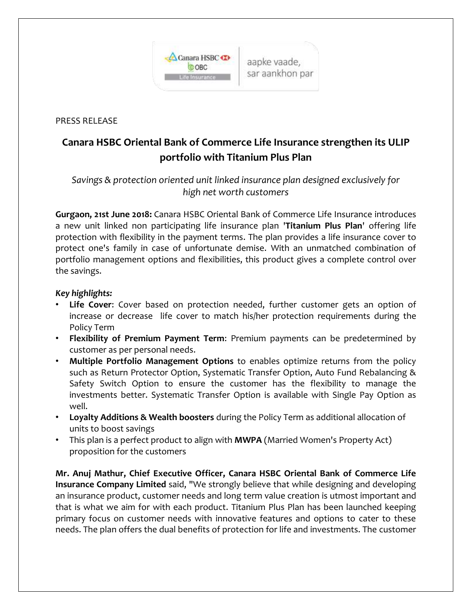

PRESS RELEASE

## **Canara HSBC Oriental Bank of Commerce Life Insurance strengthen its ULIP portfolio with Titanium Plus Plan**

## *Savings & protection oriented unit linked insurance plan designed exclusively for high net worth customers*

**Gurgaon, 21st June 2018:** Canara HSBC Oriental Bank of Commerce Life Insurance introduces a new unit linked non participating life insurance plan '**Titanium Plus Plan**' offering life protection with flexibility in the payment terms. The plan provides a life insurance cover to protect one's family in case of unfortunate demise. With an unmatched combination of portfolio management options and flexibilities, this product gives a complete control over the savings.

## *Key highlights:*

- **Life Cover**: Cover based on protection needed, further customer gets an option of increase or decrease life cover to match his/her protection requirements during the Policy Term
- **Flexibility of Premium Payment Term**: Premium payments can be predetermined by customer as per personal needs.
- **Multiple Portfolio Management Options** to enables optimize returns from the policy such as Return Protector Option, Systematic Transfer Option, Auto Fund Rebalancing & Safety Switch Option to ensure the customer has the flexibility to manage the investments better. Systematic Transfer Option is available with Single Pay Option as well.
- **Loyalty Additions & Wealth boosters** during the Policy Term as additional allocation of units to boost savings
- This plan is a perfect product to align with **MWPA** (Married Women's Property Act) proposition for the customers

**Mr. Anuj Mathur, Chief Executive Officer, Canara HSBC Oriental Bank of Commerce Life Insurance Company Limited** said, "We strongly believe that while designing and developing an insurance product, customer needs and long term value creation is utmost important and that is what we aim for with each product. Titanium Plus Plan has been launched keeping primary focus on customer needs with innovative features and options to cater to these needs. The plan offers the dual benefits of protection for life and investments. The customer